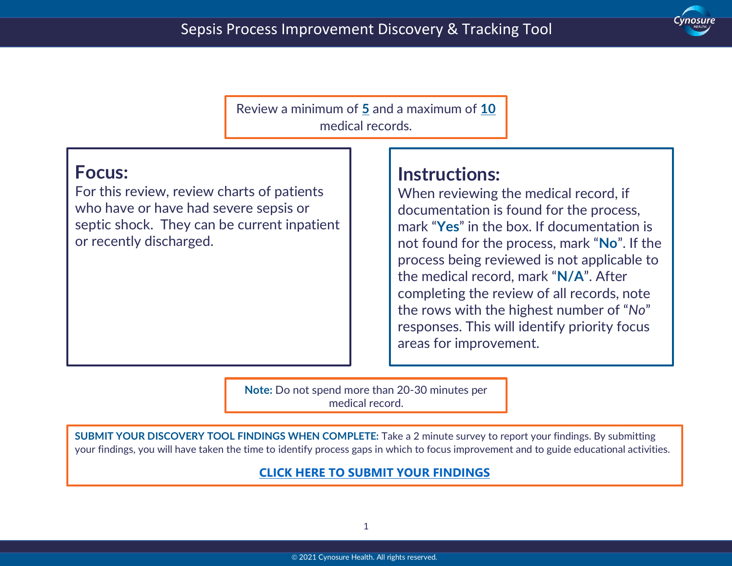

Review a minimum of **5** and a maximum of **10** medical records.

### **Focus:**

 $\overline{a}$ 

For this review, review charts of patients who have or have had severe sepsis or septic shock. They can be current inpatient or recently discharged.

## **Instructions:**

When reviewing the medical record, if documentation is found for the process, mark "**Yes**" in the box. If documentation is not found for the process, mark "**No**". If the process being reviewed is not applicable to the medical record, mark "**N/A**". After completing the review of all records, note the rows with the highest number of "*No*" responses. This will identify priority focus areas for improvement.

**Note:** Do not spend more than 20-30 minutes per medical record.

**SUBMIT YOUR DISCOVERY TOOL FINDINGS WHEN COMPLETE:** Take a 2 minute survey to report your findings. By submitting your findings, you will have taken the time to identify process gaps in which to focus improvement and to guide educational activities.

#### **[CLICK HERE TO SUBMIT YOUR FINDINGS](https://forms.office.com/Pages/ResponsePage.aspx?id=CaWuRzwNk06ImZTtwCQcupoWHPlbe_BJvTcIOh5cXV5UQ0w1WDlVODM0V0RZUjEzMzNGQUNKM0tPTC4u)**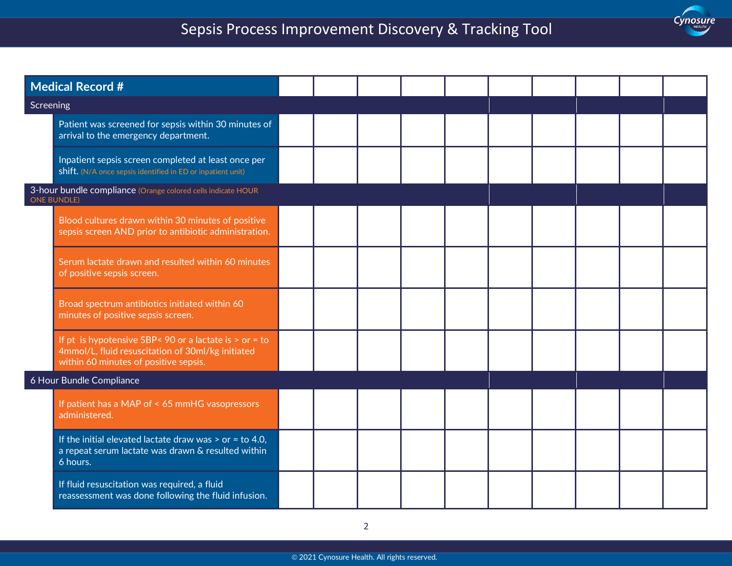# Sepsis Process Improvement Discovery & Tracking Tool

Cynosure

 $\overline{a}$ 

| <b>Medical Record #</b>                                                            |                                                                                                                                                        |  |  |  |  |  |
|------------------------------------------------------------------------------------|--------------------------------------------------------------------------------------------------------------------------------------------------------|--|--|--|--|--|
| Screening                                                                          |                                                                                                                                                        |  |  |  |  |  |
|                                                                                    | Patient was screened for sepsis within 30 minutes of<br>arrival to the emergency department.                                                           |  |  |  |  |  |
|                                                                                    | Inpatient sepsis screen completed at least once per<br>shift. (N/A once sepsis identified in ED or inpatient unit)                                     |  |  |  |  |  |
| 3-hour bundle compliance (Orange colored cells indicate HOUR<br><b>ONE BUNDLE)</b> |                                                                                                                                                        |  |  |  |  |  |
|                                                                                    | Blood cultures drawn within 30 minutes of positive<br>sepsis screen AND prior to antibiotic administration.                                            |  |  |  |  |  |
|                                                                                    | Serum lactate drawn and resulted within 60 minutes<br>of positive sepsis screen.                                                                       |  |  |  |  |  |
|                                                                                    | Broad spectrum antibiotics initiated within 60<br>minutes of positive sepsis screen.                                                                   |  |  |  |  |  |
|                                                                                    | If pt is hypotensive SBP< 90 or a lactate is $>$ or = to<br>4mmol/L, fluid resuscitation of 30ml/kg initiated<br>within 60 minutes of positive sepsis. |  |  |  |  |  |
| 6 Hour Bundle Compliance                                                           |                                                                                                                                                        |  |  |  |  |  |
|                                                                                    | If patient has a MAP of < 65 mmHG vasopressors<br>administered.                                                                                        |  |  |  |  |  |
|                                                                                    | If the initial elevated lactate draw was $>$ or = to 4.0,<br>a repeat serum lactate was drawn & resulted within<br>6 hours.                            |  |  |  |  |  |
|                                                                                    | If fluid resuscitation was required, a fluid<br>reassessment was done following the fluid infusion.                                                    |  |  |  |  |  |